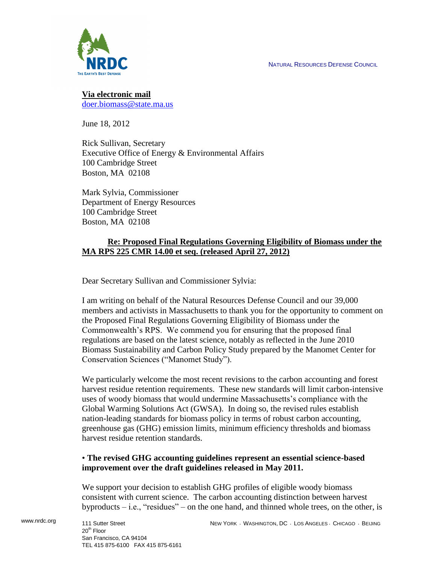NATURAL RESOURCES DEFENSE COUNCIL



**Via electronic mail** [doer.biomass@state.ma.us](mailto:doer.biomass@state.ma.us)

June 18, 2012

Rick Sullivan, Secretary Executive Office of Energy & Environmental Affairs 100 Cambridge Street Boston, MA 02108

Mark Sylvia, Commissioner Department of Energy Resources 100 Cambridge Street Boston, MA 02108

# **Re: Proposed Final Regulations Governing Eligibility of Biomass under the MA RPS 225 CMR 14.00 et seq. (released April 27, 2012)**

Dear Secretary Sullivan and Commissioner Sylvia:

I am writing on behalf of the Natural Resources Defense Council and our 39,000 members and activists in Massachusetts to thank you for the opportunity to comment on the Proposed Final Regulations Governing Eligibility of Biomass under the Commonwealth's RPS. We commend you for ensuring that the proposed final regulations are based on the latest science, notably as reflected in the June 2010 Biomass Sustainability and Carbon Policy Study prepared by the Manomet Center for Conservation Sciences ("Manomet Study").

We particularly welcome the most recent revisions to the carbon accounting and forest harvest residue retention requirements. These new standards will limit carbon-intensive uses of woody biomass that would undermine Massachusetts's compliance with the Global Warming Solutions Act (GWSA). In doing so, the revised rules establish nation-leading standards for biomass policy in terms of robust carbon accounting, greenhouse gas (GHG) emission limits, minimum efficiency thresholds and biomass harvest residue retention standards.

## • **The revised GHG accounting guidelines represent an essential science-based improvement over the draft guidelines released in May 2011.**

We support your decision to establish GHG profiles of eligible woody biomass consistent with current science. The carbon accounting distinction between harvest byproducts – i.e., "residues" – on the one hand, and thinned whole trees, on the other, is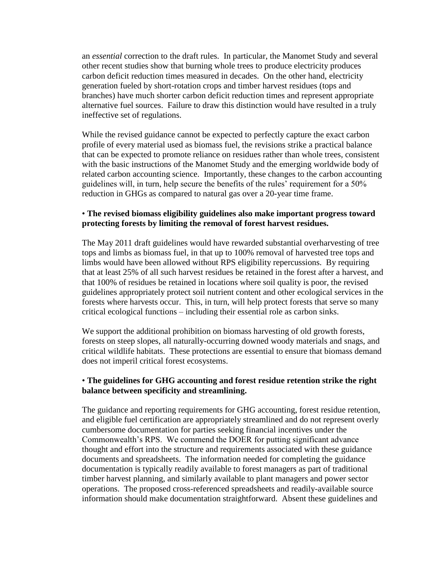an *essential* correction to the draft rules. In particular, the Manomet Study and several other recent studies show that burning whole trees to produce electricity produces carbon deficit reduction times measured in decades. On the other hand, electricity generation fueled by short-rotation crops and timber harvest residues (tops and branches) have much shorter carbon deficit reduction times and represent appropriate alternative fuel sources. Failure to draw this distinction would have resulted in a truly ineffective set of regulations.

While the revised guidance cannot be expected to perfectly capture the exact carbon profile of every material used as biomass fuel, the revisions strike a practical balance that can be expected to promote reliance on residues rather than whole trees, consistent with the basic instructions of the Manomet Study and the emerging worldwide body of related carbon accounting science. Importantly, these changes to the carbon accounting guidelines will, in turn, help secure the benefits of the rules' requirement for a 50% reduction in GHGs as compared to natural gas over a 20-year time frame.

### • **The revised biomass eligibility guidelines also make important progress toward protecting forests by limiting the removal of forest harvest residues.**

The May 2011 draft guidelines would have rewarded substantial overharvesting of tree tops and limbs as biomass fuel, in that up to 100% removal of harvested tree tops and limbs would have been allowed without RPS eligibility repercussions. By requiring that at least 25% of all such harvest residues be retained in the forest after a harvest, and that 100% of residues be retained in locations where soil quality is poor, the revised guidelines appropriately protect soil nutrient content and other ecological services in the forests where harvests occur. This, in turn, will help protect forests that serve so many critical ecological functions – including their essential role as carbon sinks.

We support the additional prohibition on biomass harvesting of old growth forests, forests on steep slopes, all naturally-occurring downed woody materials and snags, and critical wildlife habitats. These protections are essential to ensure that biomass demand does not imperil critical forest ecosystems.

### • **The guidelines for GHG accounting and forest residue retention strike the right balance between specificity and streamlining.**

The guidance and reporting requirements for GHG accounting, forest residue retention, and eligible fuel certification are appropriately streamlined and do not represent overly cumbersome documentation for parties seeking financial incentives under the Commonwealth's RPS. We commend the DOER for putting significant advance thought and effort into the structure and requirements associated with these guidance documents and spreadsheets. The information needed for completing the guidance documentation is typically readily available to forest managers as part of traditional timber harvest planning, and similarly available to plant managers and power sector operations. The proposed cross-referenced spreadsheets and readily-available source information should make documentation straightforward. Absent these guidelines and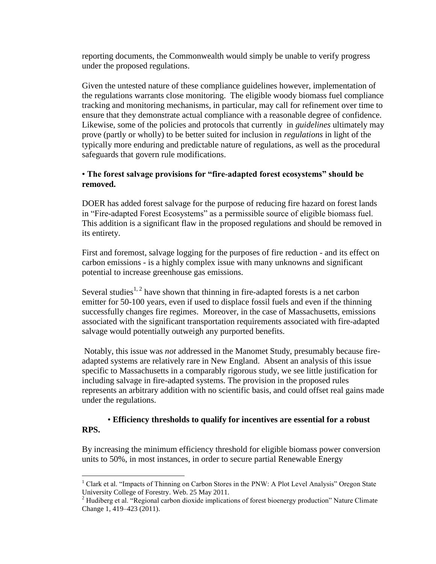reporting documents, the Commonwealth would simply be unable to verify progress under the proposed regulations.

Given the untested nature of these compliance guidelines however, implementation of the regulations warrants close monitoring. The eligible woody biomass fuel compliance tracking and monitoring mechanisms, in particular, may call for refinement over time to ensure that they demonstrate actual compliance with a reasonable degree of confidence. Likewise, some of the policies and protocols that currently in *guidelines* ultimately may prove (partly or wholly) to be better suited for inclusion in *regulations* in light of the typically more enduring and predictable nature of regulations, as well as the procedural safeguards that govern rule modifications.

# • **The forest salvage provisions for "fire-adapted forest ecosystems" should be removed.**

DOER has added forest salvage for the purpose of reducing fire hazard on forest lands in "Fire-adapted Forest Ecosystems" as a permissible source of eligible biomass fuel. This addition is a significant flaw in the proposed regulations and should be removed in its entirety.

First and foremost, salvage logging for the purposes of fire reduction - and its effect on carbon emissions - is a highly complex issue with many unknowns and significant potential to increase greenhouse gas emissions.

Several studies<sup>1, 2</sup> have shown that thinning in fire-adapted forests is a net carbon emitter for 50-100 years, even if used to displace fossil fuels and even if the thinning successfully changes fire regimes. Moreover, in the case of Massachusetts, emissions associated with the significant transportation requirements associated with fire-adapted salvage would potentially outweigh any purported benefits.

Notably, this issue was *not* addressed in the Manomet Study, presumably because fireadapted systems are relatively rare in New England. Absent an analysis of this issue specific to Massachusetts in a comparably rigorous study, we see little justification for including salvage in fire-adapted systems. The provision in the proposed rules represents an arbitrary addition with no scientific basis, and could offset real gains made under the regulations.

## • **Efficiency thresholds to qualify for incentives are essential for a robust RPS.**

By increasing the minimum efficiency threshold for eligible biomass power conversion units to 50%, in most instances, in order to secure partial Renewable Energy

 $\overline{a}$ 

<sup>&</sup>lt;sup>1</sup> Clark et al. "Impacts of Thinning on Carbon Stores in the PNW: A Plot Level Analysis" Oregon State University College of Forestry. Web. 25 May 2011.

<sup>&</sup>lt;sup>2</sup> Hudiberg et al. "Regional carbon dioxide implications of forest bioenergy production" Nature Climate Change 1, 419–423 (2011).